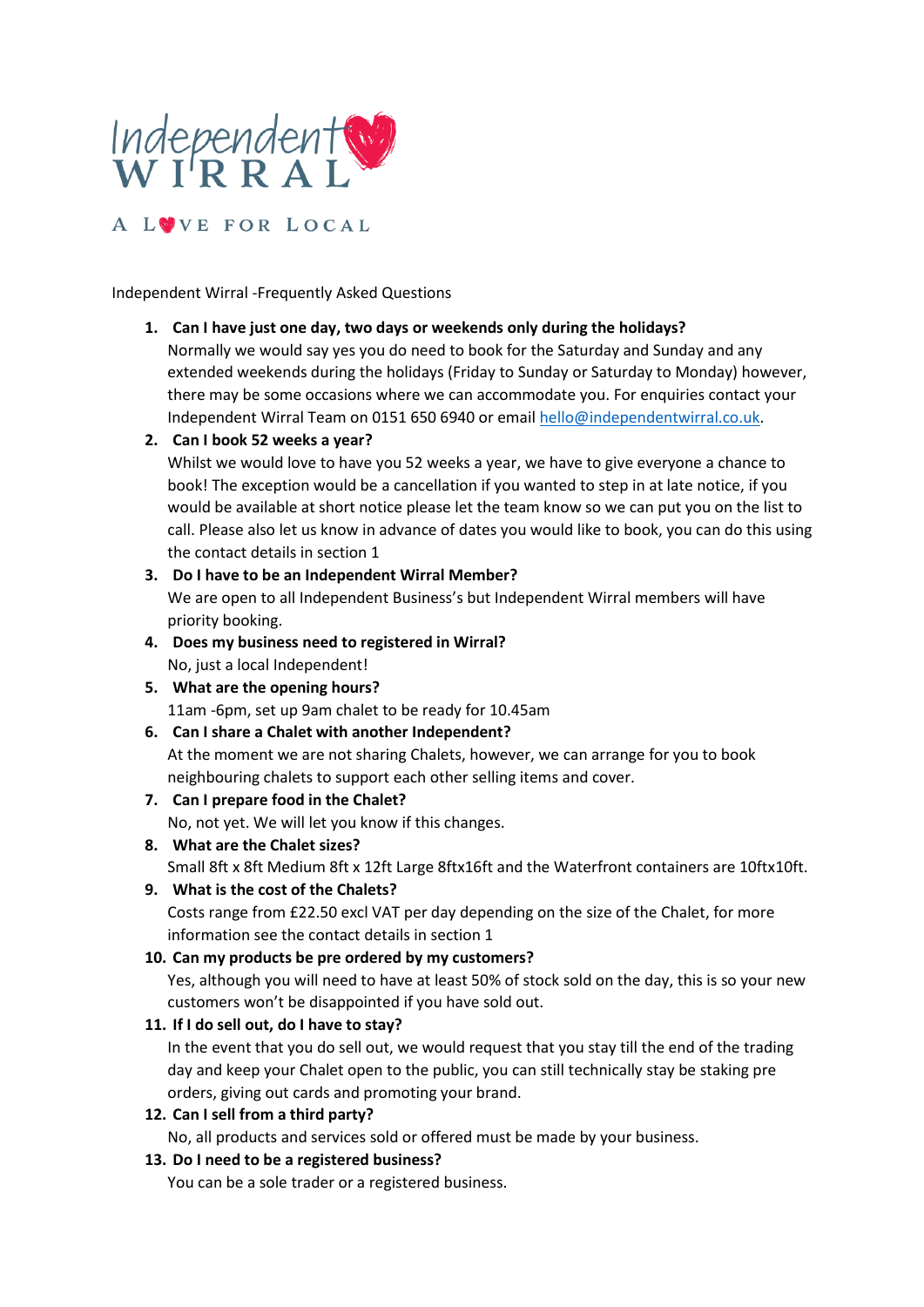

Independent Wirral -Frequently Asked Questions

#### **1. Can I have just one day, two days or weekends only during the holidays?**

Normally we would say yes you do need to book for the Saturday and Sunday and any extended weekends during the holidays (Friday to Sunday or Saturday to Monday) however, there may be some occasions where we can accommodate you. For enquiries contact your Independent Wirral Team on 0151 650 6940 or emai[l hello@independentwirral.co.uk.](mailto:hello@independentwirral.co.uk)

## **2. Can I book 52 weeks a year?**

Whilst we would love to have you 52 weeks a year, we have to give everyone a chance to book! The exception would be a cancellation if you wanted to step in at late notice, if you would be available at short notice please let the team know so we can put you on the list to call. Please also let us know in advance of dates you would like to book, you can do this using the contact details in section 1

## **3. Do I have to be an Independent Wirral Member?** We are open to all Independent Business's but Independent Wirral members will have priority booking.

- **4. Does my business need to registered in Wirral?** No, just a local Independent!
- **5. What are the opening hours?** 11am -6pm, set up 9am chalet to be ready for 10.45am
- **6. Can I share a Chalet with another Independent?** At the moment we are not sharing Chalets, however, we can arrange for you to book neighbouring chalets to support each other selling items and cover.
- **7. Can I prepare food in the Chalet?**

No, not yet. We will let you know if this changes.

- **8. What are the Chalet sizes?** Small 8ft x 8ft Medium 8ft x 12ft Large 8ftx16ft and the Waterfront containers are 10ftx10ft.
- **9. What is the cost of the Chalets?**

Costs range from £22.50 excl VAT per day depending on the size of the Chalet, for more information see the contact details in section 1

## **10. Can my products be pre ordered by my customers?**

Yes, although you will need to have at least 50% of stock sold on the day, this is so your new customers won't be disappointed if you have sold out.

#### **11. If I do sell out, do I have to stay?**

In the event that you do sell out, we would request that you stay till the end of the trading day and keep your Chalet open to the public, you can still technically stay be staking pre orders, giving out cards and promoting your brand.

## **12. Can I sell from a third party?**

No, all products and services sold or offered must be made by your business.

## **13. Do I need to be a registered business?**

You can be a sole trader or a registered business.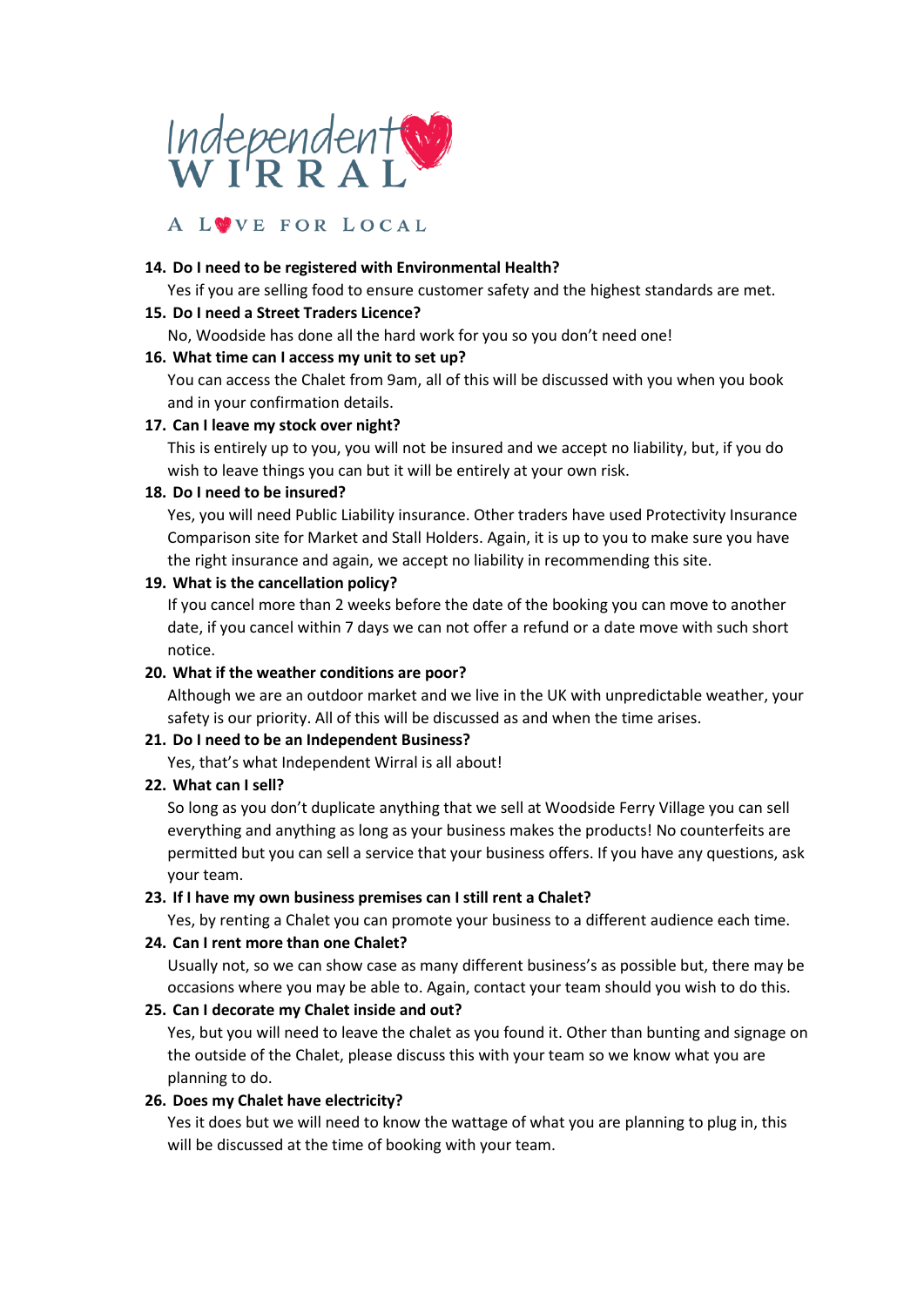

# A LUVE FOR LOCAL

#### **14. Do I need to be registered with Environmental Health?**

Yes if you are selling food to ensure customer safety and the highest standards are met.

#### **15. Do I need a Street Traders Licence?**

No, Woodside has done all the hard work for you so you don't need one!

## **16. What time can I access my unit to set up?**

You can access the Chalet from 9am, all of this will be discussed with you when you book and in your confirmation details.

## **17. Can I leave my stock over night?**

This is entirely up to you, you will not be insured and we accept no liability, but, if you do wish to leave things you can but it will be entirely at your own risk.

## **18. Do I need to be insured?**

Yes, you will need Public Liability insurance. Other traders have used Protectivity Insurance Comparison site for Market and Stall Holders. Again, it is up to you to make sure you have the right insurance and again, we accept no liability in recommending this site.

## **19. What is the cancellation policy?**

If you cancel more than 2 weeks before the date of the booking you can move to another date, if you cancel within 7 days we can not offer a refund or a date move with such short notice.

## **20. What if the weather conditions are poor?**

Although we are an outdoor market and we live in the UK with unpredictable weather, your safety is our priority. All of this will be discussed as and when the time arises.

## **21. Do I need to be an Independent Business?**

Yes, that's what Independent Wirral is all about!

## **22. What can I sell?**

So long as you don't duplicate anything that we sell at Woodside Ferry Village you can sell everything and anything as long as your business makes the products! No counterfeits are permitted but you can sell a service that your business offers. If you have any questions, ask your team.

#### **23. If I have my own business premises can I still rent a Chalet?**

Yes, by renting a Chalet you can promote your business to a different audience each time.

## **24. Can I rent more than one Chalet?**

Usually not, so we can show case as many different business's as possible but, there may be occasions where you may be able to. Again, contact your team should you wish to do this.

## **25. Can I decorate my Chalet inside and out?**

Yes, but you will need to leave the chalet as you found it. Other than bunting and signage on the outside of the Chalet, please discuss this with your team so we know what you are planning to do.

## **26. Does my Chalet have electricity?**

Yes it does but we will need to know the wattage of what you are planning to plug in, this will be discussed at the time of booking with your team.